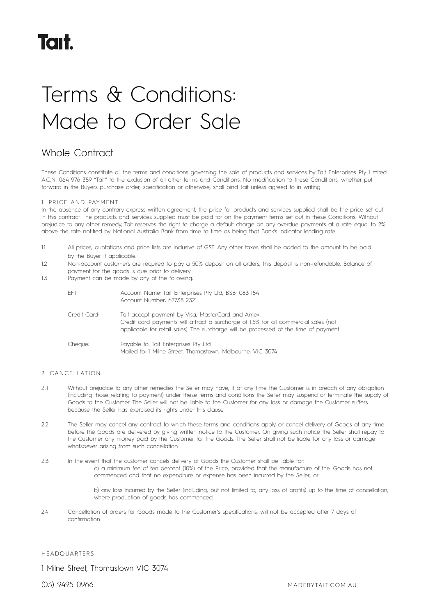# Terms & Conditions: Made to Order Sale

# Whole Contract

These Conditions constitute all the terms and conditions governing the sale of products and services by Tait Enterprises Pty Limited A.C.N. 064 976 389 "Tait" to the exclusion of all other terms and Conditions. No modification to these Conditions, whether put forward in the Buyers purchase order, specification or otherwise, shall bind Tait unless agreed to in writing.

# 1. PRICE AND PAYMENT

In the absence of any contrary express written agreement, the price for products and services supplied shall be the price set out in this contract. The products and services supplied must be paid for on the payment terms set out in these Conditions. Without prejudice to any other remedy, Tait reserves the right to charge a default charge on any overdue payments at a rate equal to 2% above the rate notified by National Australia Bank from time to time as being that Bank's indicator lending rate.

- 1.1 All prices, quotations and price lists are inclusive of GST. Any other taxes shall be added to the amount to be paid by the Buyer if applicable.
- 1.2 Non-account customers are required to pay a 50% deposit on all orders, this deposit is non-refundable. Balance of payment for the goods is due prior to delivery.
- 1.3 Payment can be made by any of the following:

| FFT:         | Account Name: Tait Enterprises Pty Ltd, BSB: 083 184<br>Account Number: 62738 2321                                                                                                                                                |
|--------------|-----------------------------------------------------------------------------------------------------------------------------------------------------------------------------------------------------------------------------------|
| Credit Card: | Tait accept payment by Visa, MasterCard and Amex.<br>Credit card payments will attract a surcharge of 1.5% for all commercial sales (not<br>applicable for retail sales). The surcharge will be processed at the time of payment. |
| Cheque:      | Payable to: Tait Enterprises Pty Ltd<br>Mailed to: 1 Milne Street, Thomastown, Melbourne, VIC 3074                                                                                                                                |

# 2 . CANCELLATION

- 2.1 Without prejudice to any other remedies the Seller may have, if at any time the Customer is in breach of any obligation (including those relating to payment) under these terms and conditions the Seller may suspend or terminate the supply of Goods to the Customer. The Seller will not be liable to the Customer for any loss or damage the Customer suffers because the Seller has exercised its rights under this clause.
- 2.2 The Seller may cancel any contract to which these terms and conditions apply or cancel delivery of Goods at any time before the Goods are delivered by giving written notice to the Customer. On giving such notice the Seller shall repay to the Customer any money paid by the Customer for the Goods. The Seller shall not be liable for any loss or damage whatsoever arising from such cancellation.
- 2.3 In the event that the customer cancels delivery of Goods the Customer shall be liable for: a) a minimum fee of ten percent (10%) of the Price, provided that the manufacture of the. Goods has not commenced and that no expenditure or expense has been incurred by the Seller; or

b) any loss incurred by the Seller (including, but not limited to, any loss of profits) up to the time of cancellation, where production of goods has commenced.

2.4 Cancellation of orders for Goods made to the Customer's specifications, will not be accepted after 7 days of confirmation.

### HEADQUARTERS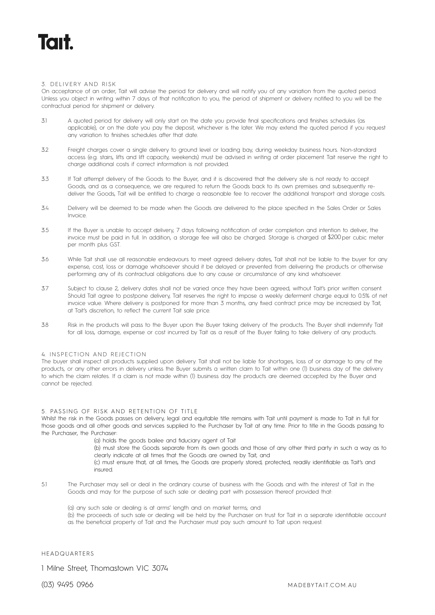### 3. DELIVERY AND RISK

On acceptance of an order, Tait will advise the period for delivery and will notify you of any variation from the quoted period. Unless you object in writing within 7 days of that notification to you, the period of shipment or delivery notified to you will be the contractual period for shipment or delivery.

- 3.1 A quoted period for delivery will only start on the date you provide final specifications and finishes schedules (as applicable), or on the date you pay the deposit, whichever is the later. We may extend the quoted period if you request any variation to finishes schedules after that date.
- 3.2 Freight charges cover a single delivery to ground level or loading bay, during weekday business hours. Non-standard access (e.g. stairs, lifts and lift capacity, weekends) must be advised in writing at order placement. Tait reserve the right to charge additional costs if correct information is not provided.
- 3.3 If Tait attempt delivery of the Goods to the Buyer, and it is discovered that the delivery site is not ready to accept Goods, and as a consequence, we are required to return the Goods back to its own premises and subsequently redeliver the Goods, Tait will be entitled to charge a reasonable fee to recover the additional transport and storage costs.
- 3.4 Delivery will be deemed to be made when the Goods are delivered to the place specified in the Sales Order or Sales Invoice.
- 3.5 If the Buyer is unable to accept delivery, 7 days following notification of order completion and intention to deliver, the invoice must be paid in full. In addition, a storage fee will also be charged. Storage is charged at \$200 per cubic meter per month plus GST.
- 3.6 While Tait shall use all reasonable endeavours to meet agreed delivery dates, Tait shall not be liable to the buyer for any expense, cost, loss or damage whatsoever should it be delayed or prevented from delivering the products or otherwise performing any of its contractual obligations due to any cause or circumstance of any kind whatsoever.
- 3.7 Subject to clause 2, delivery dates shall not be varied once they have been agreed, without Tait's prior written consent. Should Tait agree to postpone delivery, Tait reserves the right to impose a weekly deferment charge equal to 0.5% of net invoice value. Where delivery is postponed for more than 3 months, any fixed contract price may be increased by Tait, at Tait's discretion, to reflect the current Tait sale price.
- 3.8 Risk in the products will pass to the Buyer upon the Buyer taking delivery of the products. The Buyer shall indemnify Tait for all loss, damage, expense or cost incurred by Tait as a result of the Buyer failing to take delivery of any products.

### 4. INSPECTION AND REJECTION

The buyer shall inspect all products supplied upon delivery. Tait shall not be liable for shortages, loss of or damage to any of the products, or any other errors in delivery unless the Buyer submits a written claim to Tait within one (1) business day of the delivery to which the claim relates. If a claim is not made within (1) business day the products are deemed accepted by the Buyer and cannot be rejected.

### 5. PASSING OF RISK AND RETENTION OF TITLE

Whilst the risk in the Goods passes on delivery, legal and equitable title remains with Tait until payment is made to Tait in full for those goods and all other goods and services supplied to the Purchaser by Tait at any time. Prior to title in the Goods passing to the Purchaser, the Purchaser:

(a) holds the goods bailee and fiduciary agent of Tait

(b) must store the Goods separate from its own goods and those of any other third party in such a way as to clearly indicate at all times that the Goods are owned by Tait, and

(c) must ensure that, at all times, the Goods are properly stored, protected, readily identifiable as Tait's and insured.

- 5.1 The Purchaser may sell or deal in the ordinary course of business with the Goods and with the interest of Tait in the Goods and may for the purpose of such sale or dealing part with possession thereof provided that:
	- (a) any such sale or dealing is at arms' length and on market terms; and

(b) the proceeds of such sale or dealing will be held by the Purchaser on trust for Tait in a separate identifiable account as the beneficial property of Tait and the Purchaser must pay such amount to Tait upon request.

# HEADQUARTERS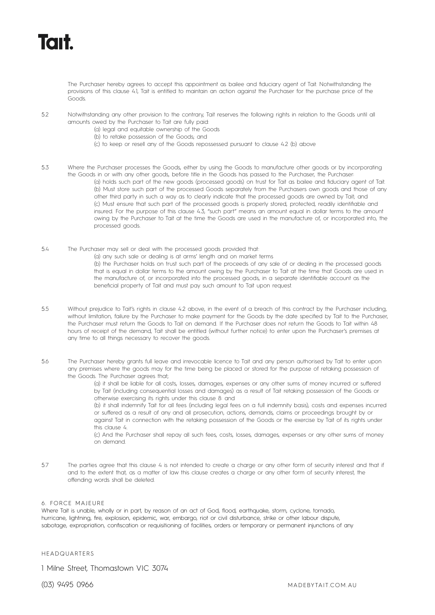# **Tait.**

The Purchaser hereby agrees to accept this appointment as bailee and fiduciary agent of Tait. Notwithstanding the provisions of this clause 4.1, Tait is entitled to maintain an action against the Purchaser for the purchase price of the Goods.

- 5.2 Notwithstanding any other provision to the contrary, Tait reserves the following rights in relation to the Goods until all amounts owed by the Purchaser to Tait are fully paid:
	- (a) legal and equitable ownership of the Goods
		- (b) to retake possession of the Goods; and
	- (c) to keep or resell any of the Goods repossessed pursuant to clause 4.2 (b) above
- 5.3 Where the Purchaser processes the Goods, either by using the Goods to manufacture other goods or by incorporating the Goods in or with any other goods, before title in the Goods has passed to the Purchaser, the Purchaser: (a) holds such part of the new goods (processed goods) on trust for Tait as bailee and fiduciary agent of Tait. (b) Must store such part of the processed Goods separately from the Purchasers own goods and those of any other third party in such a way as to clearly indicate that the processed goods are owned by Tait; and (c) Must ensure that such part of the processed goods is properly stored, protected, readily identifiable and insured. For the purpose of this clause 4.3, "such part" means an amount equal in dollar terms to the amount owing by the Purchaser to Tait at the time the Goods are used in the manufacture of, or incorporated into, the processed goods.
- 5.4 The Purchaser may sell or deal with the processed goods provided that: (a) any such sale or dealing is at arms' length and on market terms (b) the Purchaser holds on trust such part of the proceeds of any sale of or dealing in the processed goods that is equal in dollar terms to the amount owing by the Purchaser to Tait at the time that Goods are used in the manufacture of, or incorporated into the processed goods, in a separate identifiable account as the beneficial property of Tait and must pay such amount to Tait upon request.
- 5.5 Without prejudice to Tait's rights in clause 4.2 above, in the event of a breach of this contract by the Purchaser including, without limitation, failure by the Purchaser to make payment for the Goods by the date specified by Tait to the Purchaser, the Purchaser must return the Goods to Tait on demand. If the Purchaser does not return the Goods to Tait within 48 hours of receipt of the demand, Tait shall be entitled (without further notice) to enter upon the Purchaser's premises at any time to all things necessary to recover the goods.
- 5.6 The Purchaser hereby grants full leave and irrevocable licence to Tait and any person authorised by Tait to enter upon any premises where the goods may for the time being be placed or stored for the purpose of retaking possession of the Goods. The Purchaser agrees that;

(a) it shall be liable for all costs, losses, damages, expenses or any other sums of money incurred or suffered by Tait (including consequential losses and damages) as a result of Tait retaking possession of the Goods or otherwise exercising its rights under this clause 8: and

(b) it shall indemnify Tait for all fees (including legal fees on a full indemnity basis), costs and expenses incurred or suffered as a result of any and all prosecution, actions, demands, claims or proceedings brought by or against Tait in connection with the retaking possession of the Goods or the exercise by Tait of its rights under this clause 4

(c) And the Purchaser shall repay all such fees, costs, losses, damages, expenses or any other sums of money on demand.

5.7 The parties agree that this clause 4 is not intended to create a charge or any other form of security interest and that if and to the extent that, as a matter of law this clause creates a charge or any other form of security interest, the offending words shall be deleted.

# 6. FORCE MAJEURE

Where Tait is unable, wholly or in part, by reason of an act of God, flood, earthquake, storm, cyclone, tornado, hurricane, lightning, fire, explosion, epidemic, war, embargo, riot or civil disturbance, strike or other labour dispute, sabotage, expropriation, confiscation or requisitioning of facilities, orders or temporary or permanent injunctions of any

# HEADQUARTERS